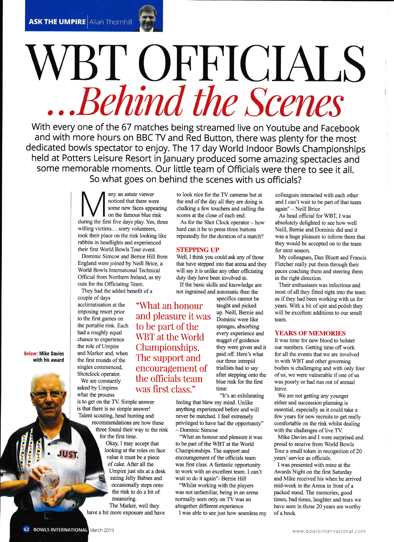## BT OFFICIALS Behind the Scenes

With every one of the 67 matches being streamed live on Youtube and Facebook and with more hours on BBC TV and Red Button, there was plenty for the most dedicated bowls spectator to enjoy. The 17 day world lndoor Bowls Championships held at Potters Leisure Resort in January produced some amazing spectacles and some memorable moments. Our little team of Officials were there to see it all. So what goes on behind the scenes with us officials?

> any an astute viewer noticed that there were some new faces appearing on the famous blue rink during the first five days play. Yes, three willing victims... sorry volunteers, took their place on the rink looking like rabbits in headlights and experienced their first World Bowls Tour event.

Dominic Simcoe and Bernie Hill from England were joined by Neill Brice, <sup>a</sup> World Bowls International Technical Official from Northern Ireland, as try outs for the Officiating Team.

They had the added benefit of a couple of days acclimatisation at the imposing resort prior to the first games on the portable rink. Each had a roughly equal chance to experience the role of Umpire and Marker and, when the first rounds of the singles commenced, Shotclock operator.

We are constantly asked by Umpires what the process

is to get on the TV. Simple answer is that there is no simple answer! Talent scouting, head hunting and

recommendations are how these three found their way to the rink for the first time.

Okay, I may accept that looking at the roles on face value it must be a piece of cake. After all the Umpire just sits at a desk eating Jelly Babies and occasionally steps onto the rink to do a bit of measuring. The Marker, well they

have a bit more exposure and have

to look nice for the TV cameras but at the end of the day all they are doing is chalking a few touchers and calling the scores at the close of each end.

As for the Shot Clock operator - how hard can it be to press three buttons repeatedly for the duration of a match?

## **STEPPING UP**

Well, I think you could ask any of those that have stepped into that arena and they will say it is unlike any other officiating duty they have been involved in.

If the basic skills and knowledge are not ingrained and automatic then the

"What an honour and pleasure it was to be part of the WBT at the World Championships. The support and encouragement of the officials team was first class."

specifics cannot be taught and picked up. Neill, Bernie and Dominic were like sponges, absorbing every experience and nugget of guidance they were given and it paid off. Here's what our three intrepid triallists had to say after stepping onto the blue rink for the first time:

"It's an exhilarating<br>feeling that blew my mind. Unlike anything experienced before and will never be matched. I feel extremely privileged to have had the opportunity" - Dominic Simcoe

"What an honour and pleasure it was to be part of the WBT at the World Championships. The support and encouragement of the officials team was first class. A fantastic opporfunity to work with an excellent team. I can't wait to do it again"- Bemie Hill

"Whilst working with the players was not unfamiliar, being in an arena normally seen only on TV was an altogether different experience.

I was able to see just how seamless my

colleagues interacted with each other and I can't wait to be part of that team again" - Neill Brice

As head official for WBT. I was absolutely delighted to see how well Neill, Bemie and Dominic did and it was a huge pleasure to inform them that they would be accepted on to the team for next season.

My colleagues, Dan Bluett and Francis Fletcher really put them through their paces coaching them and steering them in the right direction.

Their enthusiasm was infectious and most of all they fitted right into the team as if they had been working with us for years. With a bit of spit and polish they will be excellent additions to our small team.

## **YEARS OF MEMORIES**

It was time for new blood to bolster our numbers. Getting time off work for all the events that we are involved in with WBT and other governing bodies is challenging and with only four of us, we were wlnerable if one of us was poorly or had run out of annual leave.

We are not getting any younger either and succession planning is essential, especially as it could take a few years for new recruits to get really comfortable on the rink whilst dealing with the challenges of live TV.

Mike Davies and I were surprised and proud to receive from World Bowls Tour a small token in recognition of 20 years' service as officials.

I was presented with mine at the Awards Night on the first Saturday and Mike received his when he arrived mid-week in the Arena in front of a packed stand. The memories, good times, bad times, laughter and tears we have seen in those 20 years are worthy ofa book.

Below: Mike Davies with his award

**UST.**